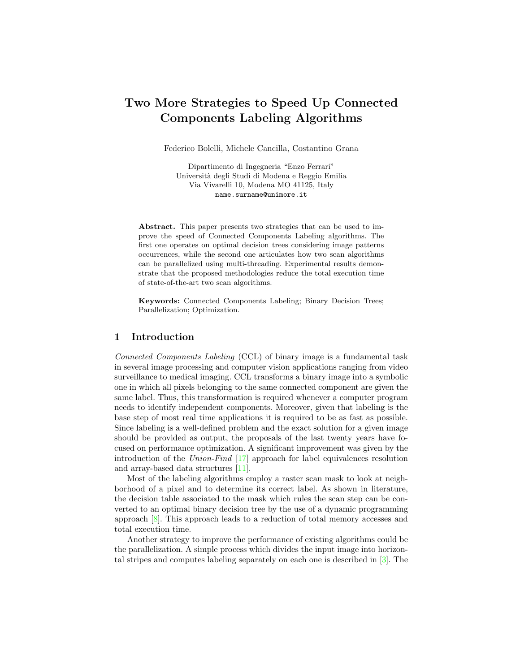# Two More Strategies to Speed Up Connected Components Labeling Algorithms

Federico Bolelli, Michele Cancilla, Costantino Grana

Dipartimento di Ingegneria "Enzo Ferrari" Universit`a degli Studi di Modena e Reggio Emilia Via Vivarelli 10, Modena MO 41125, Italy name.surname@unimore.it

Abstract. This paper presents two strategies that can be used to improve the speed of Connected Components Labeling algorithms. The first one operates on optimal decision trees considering image patterns occurrences, while the second one articulates how two scan algorithms can be parallelized using multi-threading. Experimental results demonstrate that the proposed methodologies reduce the total execution time of state-of-the-art two scan algorithms.

Keywords: Connected Components Labeling; Binary Decision Trees; Parallelization; Optimization.

### 1 Introduction

Connected Components Labeling (CCL) of binary image is a fundamental task in several image processing and computer vision applications ranging from video surveillance to medical imaging. CCL transforms a binary image into a symbolic one in which all pixels belonging to the same connected component are given the same label. Thus, this transformation is required whenever a computer program needs to identify independent components. Moreover, given that labeling is the base step of most real time applications it is required to be as fast as possible. Since labeling is a well-defined problem and the exact solution for a given image should be provided as output, the proposals of the last twenty years have focused on performance optimization. A significant improvement was given by the introduction of the Union-Find [\[17\]](#page-10-0) approach for label equivalences resolution and array-based data structures [\[11\]](#page-10-1).

Most of the labeling algorithms employ a raster scan mask to look at neighborhood of a pixel and to determine its correct label. As shown in literature, the decision table associated to the mask which rules the scan step can be converted to an optimal binary decision tree by the use of a dynamic programming approach [\[8\]](#page-10-2). This approach leads to a reduction of total memory accesses and total execution time.

Another strategy to improve the performance of existing algorithms could be the parallelization. A simple process which divides the input image into horizontal stripes and computes labeling separately on each one is described in [\[3\]](#page-10-3). The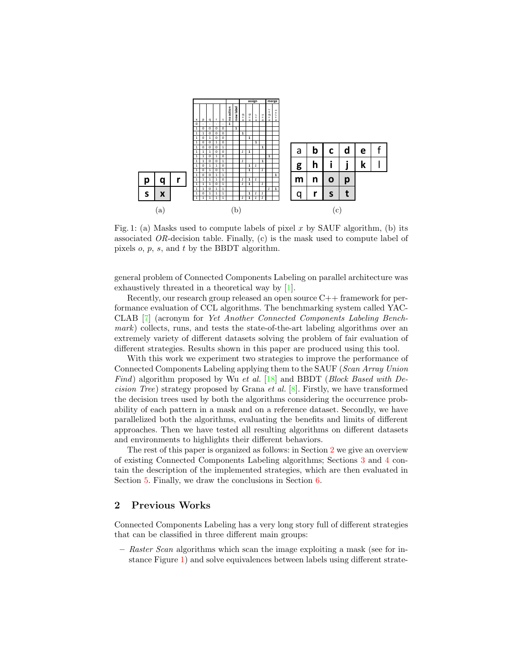<span id="page-1-1"></span>

Fig. 1: (a) Masks used to compute labels of pixel x by SAUF algorithm, (b) its associated OR-decision table. Finally, (c) is the mask used to compute label of pixels o, p, s, and t by the BBDT algorithm.

general problem of Connected Components Labeling on parallel architecture was exhaustively threated in a theoretical way by [\[1\]](#page-10-4).

Recently, our research group released an open source C++ framework for performance evaluation of CCL algorithms. The benchmarking system called YAC-CLAB [\[7\]](#page-10-5) (acronym for Yet Another Connected Components Labeling Benchmark) collects, runs, and tests the state-of-the-art labeling algorithms over an extremely variety of different datasets solving the problem of fair evaluation of different strategies. Results shown in this paper are produced using this tool.

With this work we experiment two strategies to improve the performance of Connected Components Labeling applying them to the SAUF (Scan Array Union Find) algorithm proposed by Wu et al. [\[18\]](#page-10-6) and BBDT (Block Based with Decision Tree) strategy proposed by Grana *et al.*  $[8]$ . Firstly, we have transformed the decision trees used by both the algorithms considering the occurrence probability of each pattern in a mask and on a reference dataset. Secondly, we have parallelized both the algorithms, evaluating the benefits and limits of different approaches. Then we have tested all resulting algorithms on different datasets and environments to highlights their different behaviors.

The rest of this paper is organized as follows: in Section [2](#page-1-0) we give an overview of existing Connected Components Labeling algorithms; Sections [3](#page-2-0) and [4](#page-4-0) contain the description of the implemented strategies, which are then evaluated in Section [5.](#page-6-0) Finally, we draw the conclusions in Section [6.](#page-9-0)

## <span id="page-1-0"></span>2 Previous Works

Connected Components Labeling has a very long story full of different strategies that can be classified in three different main groups:

– Raster Scan algorithms which scan the image exploiting a mask (see for instance Figure [1\)](#page-1-1) and solve equivalences between labels using different strate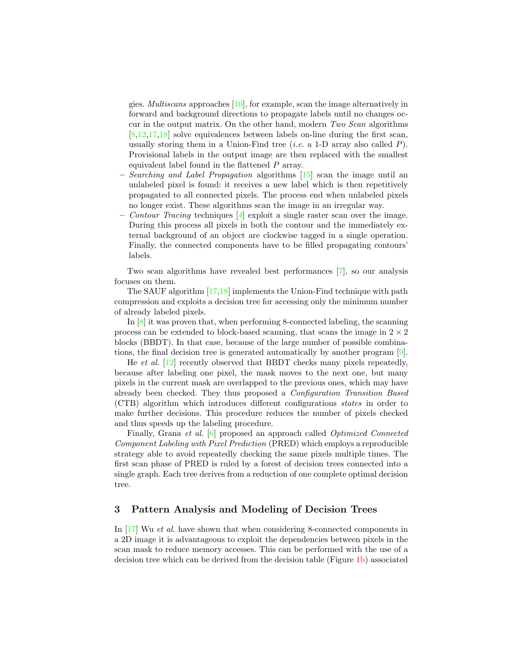gies. Multiscans approaches [\[10\]](#page-10-7), for example, scan the image alternatively in forward and background directions to propagate labels until no changes occur in the output matrix. On the other hand, modern  $Two\,Scan\, algorithms$ [\[8](#page-10-2)[,12](#page-10-8)[,17,](#page-10-0)[18\]](#page-10-6) solve equivalences between labels on-line during the first scan, usually storing them in a Union-Find tree (*i.e.* a 1-D array also called  $P$ ). Provisional labels in the output image are then replaced with the smallest equivalent label found in the flattened P array.

- Searching and Label Propagation algorithms [\[15\]](#page-10-9) scan the image until an unlabeled pixel is found: it receives a new label which is then repetitively propagated to all connected pixels. The process end when unlabeled pixels no longer exist. These algorithms scan the image in an irregular way.
- Contour Tracing techniques [\[4\]](#page-10-10) exploit a single raster scan over the image. During this process all pixels in both the contour and the immediately external background of an object are clockwise tagged in a single operation. Finally, the connected components have to be filled propagating contours' labels.

Two scan algorithms have revealed best performances [\[7\]](#page-10-5), so our analysis focuses on them.

The SAUF algorithm [\[17,](#page-10-0)[18\]](#page-10-6) implements the Union-Find technique with path compression and exploits a decision tree for accessing only the minimum number of already labeled pixels.

In  $[8]$  it was proven that, when performing 8-connected labeling, the scanning process can be extended to block-based scanning, that scans the image in  $2 \times 2$ blocks (BBDT). In that case, because of the large number of possible combinations, the final decision tree is generated automatically by another program [\[9\]](#page-10-11).

He et al. [\[12\]](#page-10-8) recently observed that BBDT checks many pixels repeatedly, because after labeling one pixel, the mask moves to the next one, but many pixels in the current mask are overlapped to the previous ones, which may have already been checked. They thus proposed a Configuration Transition Based (CTB) algorithm which introduces different configurations states in order to make further decisions. This procedure reduces the number of pixels checked and thus speeds up the labeling procedure.

Finally, Grana et al. [\[6\]](#page-10-12) proposed an approach called Optimized Connected Component Labeling with Pixel Prediction (PRED) which employs a reproducible strategy able to avoid repeatedly checking the same pixels multiple times. The first scan phase of PRED is ruled by a forest of decision trees connected into a single graph. Each tree derives from a reduction of one complete optimal decision tree.

## <span id="page-2-0"></span>3 Pattern Analysis and Modeling of Decision Trees

In [\[17\]](#page-10-0) Wu et al. have shown that when considering 8-connected components in a 2D image it is advantageous to exploit the dependencies between pixels in the scan mask to reduce memory accesses. This can be performed with the use of a decision tree which can be derived from the decision table (Figure [1b\)](#page-1-1) associated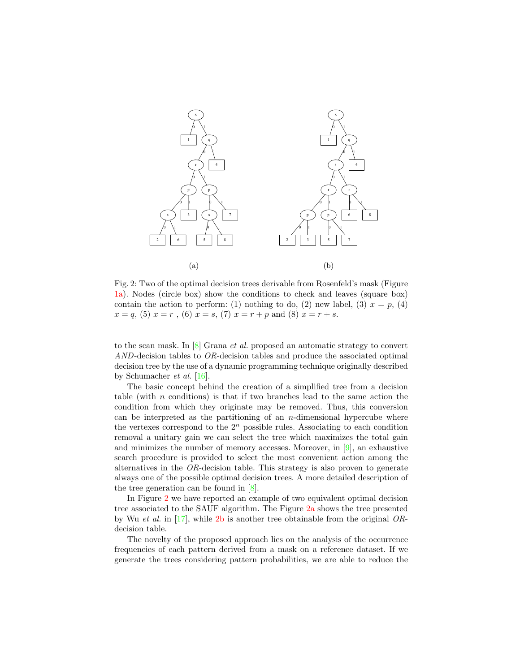<span id="page-3-0"></span>

Fig. 2: Two of the optimal decision trees derivable from Rosenfeld's mask (Figure [1a\)](#page-1-1). Nodes (circle box) show the conditions to check and leaves (square box) contain the action to perform: (1) nothing to do, (2) new label, (3)  $x = p$ , (4)  $x = q$ , (5)  $x = r$ , (6)  $x = s$ , (7)  $x = r + p$  and (8)  $x = r + s$ .

to the scan mask. In  $[8]$  Grana *et al.* proposed an automatic strategy to convert AND-decision tables to OR-decision tables and produce the associated optimal decision tree by the use of a dynamic programming technique originally described by Schumacher et al. [\[16\]](#page-10-13).

The basic concept behind the creation of a simplified tree from a decision table (with  $n$  conditions) is that if two branches lead to the same action the condition from which they originate may be removed. Thus, this conversion can be interpreted as the partitioning of an  $n$ -dimensional hypercube where the vertexes correspond to the  $2<sup>n</sup>$  possible rules. Associating to each condition removal a unitary gain we can select the tree which maximizes the total gain and minimizes the number of memory accesses. Moreover, in  $[9]$ , an exhaustive search procedure is provided to select the most convenient action among the alternatives in the  $OR$ -decision table. This strategy is also proven to generate always one of the possible optimal decision trees. A more detailed description of the tree generation can be found in [\[8\]](#page-10-2).

In Figure [2](#page-3-0) we have reported an example of two equivalent optimal decision tree associated to the SAUF algorithm. The Figure [2a](#page-3-0) shows the tree presented by Wu *et al.* in [\[17\]](#page-10-0), while [2b](#page-3-0) is another tree obtainable from the original  $OR$ decision table.

The novelty of the proposed approach lies on the analysis of the occurrence frequencies of each pattern derived from a mask on a reference dataset. If we generate the trees considering pattern probabilities, we are able to reduce the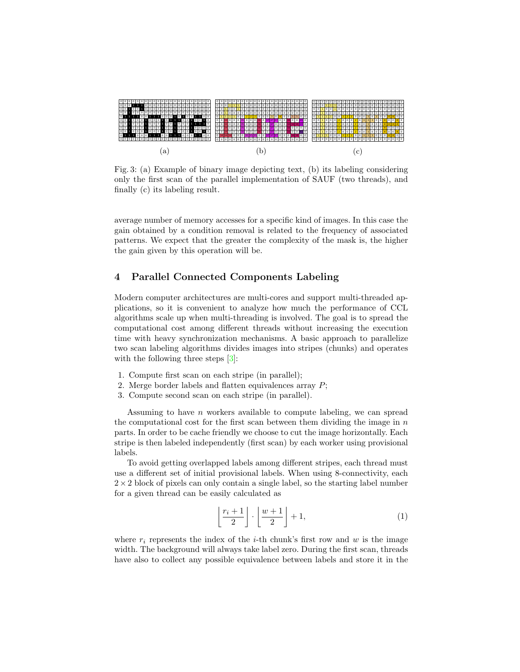<span id="page-4-1"></span>

Fig. 3: (a) Example of binary image depicting text, (b) its labeling considering only the first scan of the parallel implementation of SAUF (two threads), and finally (c) its labeling result.

average number of memory accesses for a specific kind of images. In this case the gain obtained by a condition removal is related to the frequency of associated patterns. We expect that the greater the complexity of the mask is, the higher the gain given by this operation will be.

## <span id="page-4-0"></span>4 Parallel Connected Components Labeling

Modern computer architectures are multi-cores and support multi-threaded applications, so it is convenient to analyze how much the performance of CCL algorithms scale up when multi-threading is involved. The goal is to spread the computational cost among different threads without increasing the execution time with heavy synchronization mechanisms. A basic approach to parallelize two scan labeling algorithms divides images into stripes (chunks) and operates with the following three steps [\[3\]](#page-10-3):

- 1. Compute first scan on each stripe (in parallel);
- 2. Merge border labels and flatten equivalences array  $P$ ;
- 3. Compute second scan on each stripe (in parallel).

Assuming to have n workers available to compute labeling, we can spread the computational cost for the first scan between them dividing the image in  $n$ parts. In order to be cache friendly we choose to cut the image horizontally. Each stripe is then labeled independently (first scan) by each worker using provisional labels.

To avoid getting overlapped labels among different stripes, each thread must use a different set of initial provisional labels. When using 8-connectivity, each  $2\times2$  block of pixels can only contain a single label, so the starting label number for a given thread can be easily calculated as

$$
\left\lfloor \frac{r_i+1}{2} \right\rfloor \cdot \left\lfloor \frac{w+1}{2} \right\rfloor + 1, \tag{1}
$$

where  $r_i$  represents the index of the *i*-th chunk's first row and w is the image width. The background will always take label zero. During the first scan, threads have also to collect any possible equivalence between labels and store it in the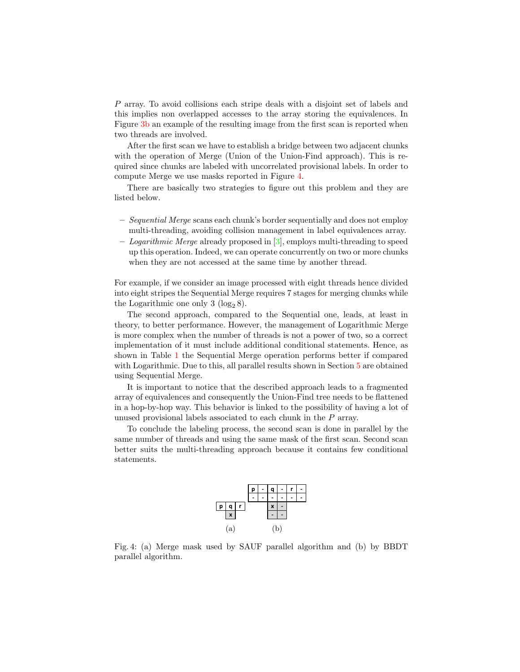P array. To avoid collisions each stripe deals with a disjoint set of labels and this implies non overlapped accesses to the array storing the equivalences. In Figure [3b](#page-4-1) an example of the resulting image from the first scan is reported when two threads are involved.

After the first scan we have to establish a bridge between two adjacent chunks with the operation of Merge (Union of the Union-Find approach). This is required since chunks are labeled with uncorrelated provisional labels. In order to compute Merge we use masks reported in Figure [4.](#page-5-0)

There are basically two strategies to figure out this problem and they are listed below.

- Sequential Merge scans each chunk's border sequentially and does not employ multi-threading, avoiding collision management in label equivalences array.
- $-$  Logarithmic Merge already proposed in [\[3\]](#page-10-3), employs multi-threading to speed up this operation. Indeed, we can operate concurrently on two or more chunks when they are not accessed at the same time by another thread.

For example, if we consider an image processed with eight threads hence divided into eight stripes the Sequential Merge requires 7 stages for merging chunks while the Logarithmic one only 3 ( $log_2 8$ ).

The second approach, compared to the Sequential one, leads, at least in theory, to better performance. However, the management of Logarithmic Merge is more complex when the number of threads is not a power of two, so a correct implementation of it must include additional conditional statements. Hence, as shown in Table [1](#page-6-1) the Sequential Merge operation performs better if compared with Logarithmic. Due to this, all parallel results shown in Section [5](#page-6-0) are obtained using Sequential Merge.

It is important to notice that the described approach leads to a fragmented array of equivalences and consequently the Union-Find tree needs to be flattened in a hop-by-hop way. This behavior is linked to the possibility of having a lot of unused provisional labels associated to each chunk in the P array.

<span id="page-5-0"></span>To conclude the labeling process, the second scan is done in parallel by the same number of threads and using the same mask of the first scan. Second scan better suits the multi-threading approach because it contains few conditional statements.



Fig. 4: (a) Merge mask used by SAUF parallel algorithm and (b) by BBDT parallel algorithm.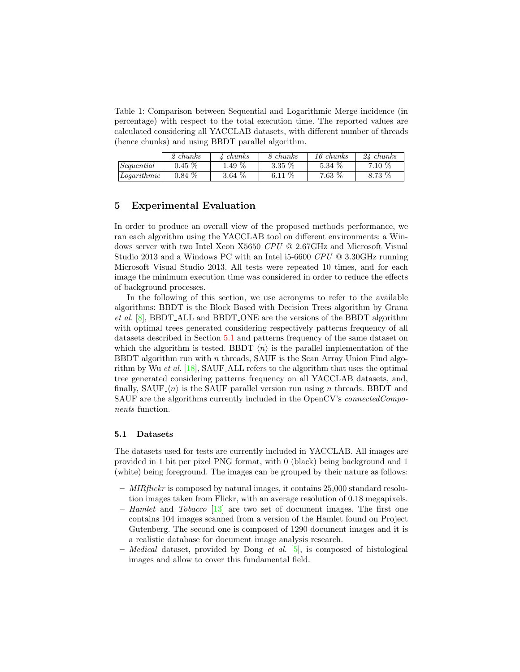<span id="page-6-1"></span>Table 1: Comparison between Sequential and Logarithmic Merge incidence (in percentage) with respect to the total execution time. The reported values are calculated considering all YACCLAB datasets, with different number of threads (hence chunks) and using BBDT parallel algorithm.

|             | $2 \; chunks$ | $\mathit{chunks}$ | 8 chunks | $16$ chunks | 24<br>$\mathit{chunks}$ |
|-------------|---------------|-------------------|----------|-------------|-------------------------|
| Sequential  | $0.45\%$      | $1.49\%$          | $3.35\%$ | $5.34\%$    | $7.10\%$                |
| Logarithmic | $0.84\%$      | $3.64\%$          | $\%$     | $7.63\%$    | $8.73\%$                |

# <span id="page-6-0"></span>5 Experimental Evaluation

In order to produce an overall view of the proposed methods performance, we ran each algorithm using the YACCLAB tool on different environments: a Windows server with two Intel Xeon X5650 CPU @ 2.67GHz and Microsoft Visual Studio 2013 and a Windows PC with an Intel i5-6600 CPU @ 3.30GHz running Microsoft Visual Studio 2013. All tests were repeated 10 times, and for each image the minimum execution time was considered in order to reduce the effects of background processes.

In the following of this section, we use acronyms to refer to the available algorithms: BBDT is the Block Based with Decision Trees algorithm by Grana et al. [\[8\]](#page-10-2), BBDT ALL and BBDT ONE are the versions of the BBDT algorithm with optimal trees generated considering respectively patterns frequency of all datasets described in Section [5.1](#page-6-2) and patterns frequency of the same dataset on which the algorithm is tested. BBDT  $\langle n \rangle$  is the parallel implementation of the BBDT algorithm run with  $n$  threads, SAUF is the Scan Array Union Find algorithm by Wu et al. [\[18\]](#page-10-6), SAUF ALL refers to the algorithm that uses the optimal tree generated considering patterns frequency on all YACCLAB datasets, and, finally,  $SAUF_{\alpha}$  is the SAUF parallel version run using *n* threads. BBDT and SAUF are the algorithms currently included in the OpenCV's connectedComponents function.

#### <span id="page-6-2"></span>5.1 Datasets

The datasets used for tests are currently included in YACCLAB. All images are provided in 1 bit per pixel PNG format, with 0 (black) being background and 1 (white) being foreground. The images can be grouped by their nature as follows:

- $-$  *MIRflickr* is composed by natural images, it contains 25,000 standard resolution images taken from Flickr, with an average resolution of 0.18 megapixels.
- Hamlet and Tobacco [\[13\]](#page-10-14) are two set of document images. The first one contains 104 images scanned from a version of the Hamlet found on Project Gutenberg. The second one is composed of 1290 document images and it is a realistic database for document image analysis research.
- $-$  *Medical* dataset, provided by Dong *et al.* [\[5\]](#page-10-15), is composed of histological images and allow to cover this fundamental field.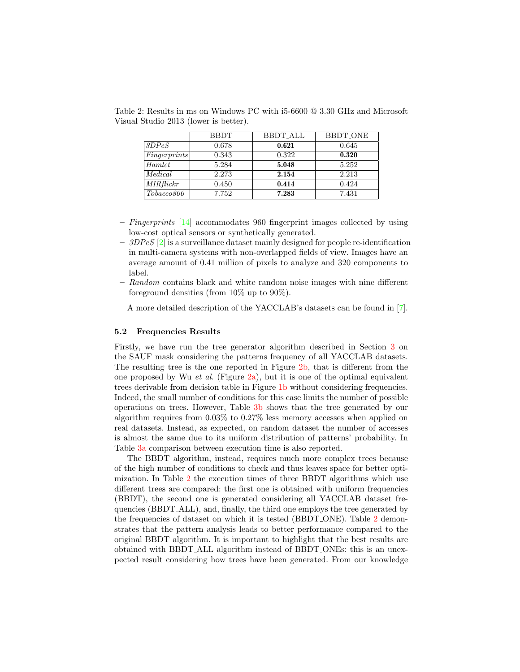|              | <b>BBDT</b> | <b>BBDT_ALL</b> | <b>BBDT_ONE</b> |
|--------------|-------------|-----------------|-----------------|
| 3DPeS        | 0.678       | 0.621           | 0.645           |
| Fingerprints | 0.343       | 0.322           | 0.320           |
| Hamlet       | 5.284       | 5.048           | 5.252           |
| Medical      | 2.273       | 2.154           | 2.213           |
| MIR flickr   | 0.450       | 0.414           | 0.424           |
| Tobacco800   | 7.752       | 7.283           | 7.431           |

<span id="page-7-0"></span>Table 2: Results in ms on Windows PC with i5-6600 @ 3.30 GHz and Microsoft Visual Studio 2013 (lower is better).

- $-$  Fingerprints [\[14\]](#page-10-16) accommodates 960 fingerprint images collected by using low-cost optical sensors or synthetically generated.
- $-3DPeS$  [\[2\]](#page-10-17) is a surveillance dataset mainly designed for people re-identification in multi-camera systems with non-overlapped fields of view. Images have an average amount of 0.41 million of pixels to analyze and 320 components to label.
- $-$  Random contains black and white random noise images with nine different foreground densities (from 10% up to 90%).

A more detailed description of the YACCLAB's datasets can be found in [\[7\]](#page-10-5).

#### 5.2 Frequencies Results

Firstly, we have run the tree generator algorithm described in Section [3](#page-2-0) on the SAUF mask considering the patterns frequency of all YACCLAB datasets. The resulting tree is the one reported in Figure [2b,](#page-3-0) that is different from the one proposed by Wu et al. (Figure  $2a$ ), but it is one of the optimal equivalent trees derivable from decision table in Figure [1b](#page-1-1) without considering frequencies. Indeed, the small number of conditions for this case limits the number of possible operations on trees. However, Table [3b](#page-8-0) shows that the tree generated by our algorithm requires from 0.03% to 0.27% less memory accesses when applied on real datasets. Instead, as expected, on random dataset the number of accesses is almost the same due to its uniform distribution of patterns' probability. In Table [3a](#page-8-0) comparison between execution time is also reported.

The BBDT algorithm, instead, requires much more complex trees because of the high number of conditions to check and thus leaves space for better optimization. In Table [2](#page-7-0) the execution times of three BBDT algorithms which use different trees are compared: the first one is obtained with uniform frequencies (BBDT), the second one is generated considering all YACCLAB dataset frequencies (BBDT ALL), and, finally, the third one employs the tree generated by the frequencies of dataset on which it is tested (BBDT ONE). Table [2](#page-7-0) demonstrates that the pattern analysis leads to better performance compared to the original BBDT algorithm. It is important to highlight that the best results are obtained with BBDT ALL algorithm instead of BBDT ONEs: this is an unexpected result considering how trees have been generated. From our knowledge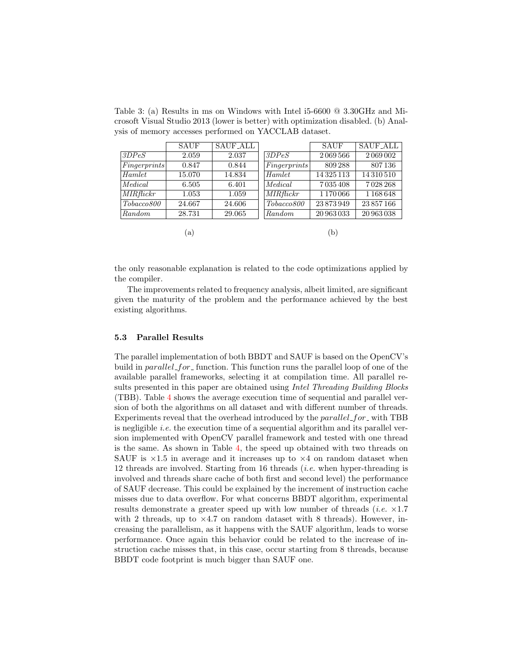|              | <b>SAUF</b> | <b>SAUF_ALL</b> |              | <b>SAUF</b>   | <b>SAUF_ALL</b> |
|--------------|-------------|-----------------|--------------|---------------|-----------------|
| 3DPeS        | 2.059       | 2.037           | 3DPeS        | 2069566       | 2069002         |
| Fingerprints | 0.847       | 0.844           | Fingerprints | 809 288       | 807136          |
| Hamlet       | 15.070      | 14.834          | Hamlet       | 14325113      | 14 310 510      |
| Medical      | 6.505       | 6.401           | Medical      | 7035408       | 7028268         |
| MIR flickr   | 1.053       | 1.059           | MIR flickr   | 1 1 7 0 0 6 6 | 1168648         |
| Tobacco800   | 24.667      | 24.606          | Tobacco 800  | 23873949      | 23857166        |
| Random       | 28.731      | 29.065          | Random       | 20 963 033    | 20 963 038      |
|              |             |                 |              |               |                 |
|              | (a)         |                 |              | (b)           |                 |

<span id="page-8-0"></span>Table 3: (a) Results in ms on Windows with Intel i5-6600 @ 3.30GHz and Microsoft Visual Studio 2013 (lower is better) with optimization disabled. (b) Analysis of memory accesses performed on YACCLAB dataset.

the only reasonable explanation is related to the code optimizations applied by the compiler.

The improvements related to frequency analysis, albeit limited, are significant given the maturity of the problem and the performance achieved by the best existing algorithms.

#### 5.3 Parallel Results

The parallel implementation of both BBDT and SAUF is based on the OpenCV's build in *parallel for* function. This function runs the parallel loop of one of the available parallel frameworks, selecting it at compilation time. All parallel results presented in this paper are obtained using Intel Threading Building Blocks (TBB). Table [4](#page-9-1) shows the average execution time of sequential and parallel version of both the algorithms on all dataset and with different number of threads. Experiments reveal that the overhead introduced by the  $parallel\_for$  with TBB is negligible *i.e.* the execution time of a sequential algorithm and its parallel version implemented with OpenCV parallel framework and tested with one thread is the same. As shown in Table [4,](#page-9-1) the speed up obtained with two threads on SAUF is  $\times 1.5$  in average and it increases up to  $\times 4$  on random dataset when 12 threads are involved. Starting from 16 threads (i.e. when hyper-threading is involved and threads share cache of both first and second level) the performance of SAUF decrease. This could be explained by the increment of instruction cache misses due to data overflow. For what concerns BBDT algorithm, experimental results demonstrate a greater speed up with low number of threads (*i.e.*  $\times$ 1.7 with 2 threads, up to  $\times$ 4.7 on random dataset with 8 threads). However, increasing the parallelism, as it happens with the SAUF algorithm, leads to worse performance. Once again this behavior could be related to the increase of instruction cache misses that, in this case, occur starting from 8 threads, because BBDT code footprint is much bigger than SAUF one.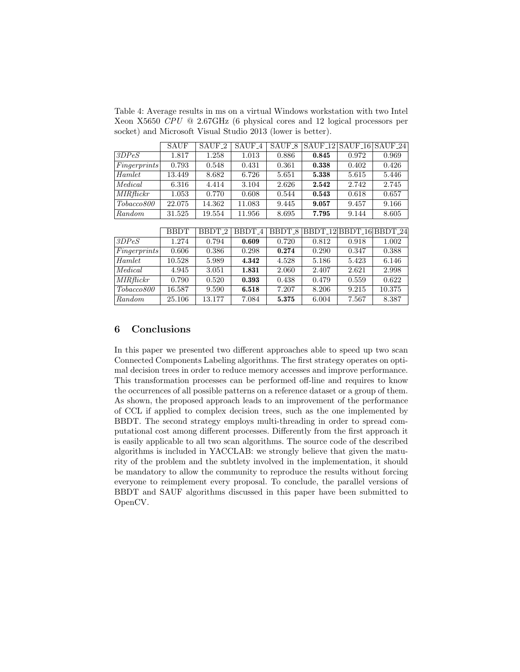<span id="page-9-1"></span>Table 4: Average results in ms on a virtual Windows workstation with two Intel Xeon X5650 CPU @ 2.67GHz (6 physical cores and 12 logical processors per socket) and Microsoft Visual Studio 2013 (lower is better).

|                          | <b>SAUF</b> | $\overline{\text{SAUF}}\_2$ | SAUF <sub>-4</sub> | SAUF <sub>-8</sub> |       | $SAUF_12 SAUF_16 SAUF_24 $ |       |
|--------------------------|-------------|-----------------------------|--------------------|--------------------|-------|----------------------------|-------|
| 3DPeS                    | 1.817       | 1.258                       | 1.013              | 0.886              | 0.845 | 0.972                      | 0.969 |
| Fingerprints             | 0.793       | 0.548                       | 0.431              | 0.361              | 0.338 | 0.402                      | 0.426 |
| Hamlet                   | 13.449      | 8.682                       | 6.726              | 5.651              | 5.338 | 5.615                      | 5.446 |
| Medical                  | 6.316       | 4.414                       | 3.104              | 2.626              | 2.542 | 2.742                      | 2.745 |
| $\vert$ <i>MIRflickr</i> | 1.053       | 0.770                       | 0.608              | 0.544              | 0.543 | 0.618                      | 0.657 |
| Tobacco 800              | 22.075      | 14.362                      | 11.083             | 9.445              | 9.057 | 9.457                      | 9.166 |
| Random                   | 31.525      | 19.554                      | 11.956             | 8.695              | 7.795 | 9.144                      | 8.605 |

|                    | <b>BBDT</b> | BBDT 2 | BBDT 4 | BBDT 8 |       | BBDT 12 BBDT 16 BBDT 24 |        |
|--------------------|-------------|--------|--------|--------|-------|-------------------------|--------|
| 3DPeS              | 1.274       | 0.794  | 0.609  | 0.720  | 0.812 | 0.918                   | 1.002  |
| Fingerprints       | 0.606       | 0.386  | 0.298  | 0.274  | 0.290 | 0.347                   | 0.388  |
| Hamlet             | 10.528      | 5.989  | 4.342  | 4.528  | 5.186 | 5.423                   | 6.146  |
| Medical            | 4.945       | 3.051  | 1.831  | 2.060  | 2.407 | 2.621                   | 2.998  |
| $\vert$ MIRflickr  | 0.790       | 0.520  | 0.393  | 0.438  | 0.479 | 0.559                   | 0.622  |
| $\vert$ Tobacco800 | 16.587      | 9.590  | 6.518  | 7.207  | 8.206 | 9.215                   | 10.375 |
| $\vert$ Random     | 25.106      | 13.177 | 7.084  | 5.375  | 6.004 | 7.567                   | 8.387  |

# <span id="page-9-0"></span>6 Conclusions

In this paper we presented two different approaches able to speed up two scan Connected Components Labeling algorithms. The first strategy operates on optimal decision trees in order to reduce memory accesses and improve performance. This transformation processes can be performed off-line and requires to know the occurrences of all possible patterns on a reference dataset or a group of them. As shown, the proposed approach leads to an improvement of the performance of CCL if applied to complex decision trees, such as the one implemented by BBDT. The second strategy employs multi-threading in order to spread computational cost among different processes. Differently from the first approach it is easily applicable to all two scan algorithms. The source code of the described algorithms is included in YACCLAB: we strongly believe that given the maturity of the problem and the subtlety involved in the implementation, it should be mandatory to allow the community to reproduce the results without forcing everyone to reimplement every proposal. To conclude, the parallel versions of BBDT and SAUF algorithms discussed in this paper have been submitted to OpenCV.